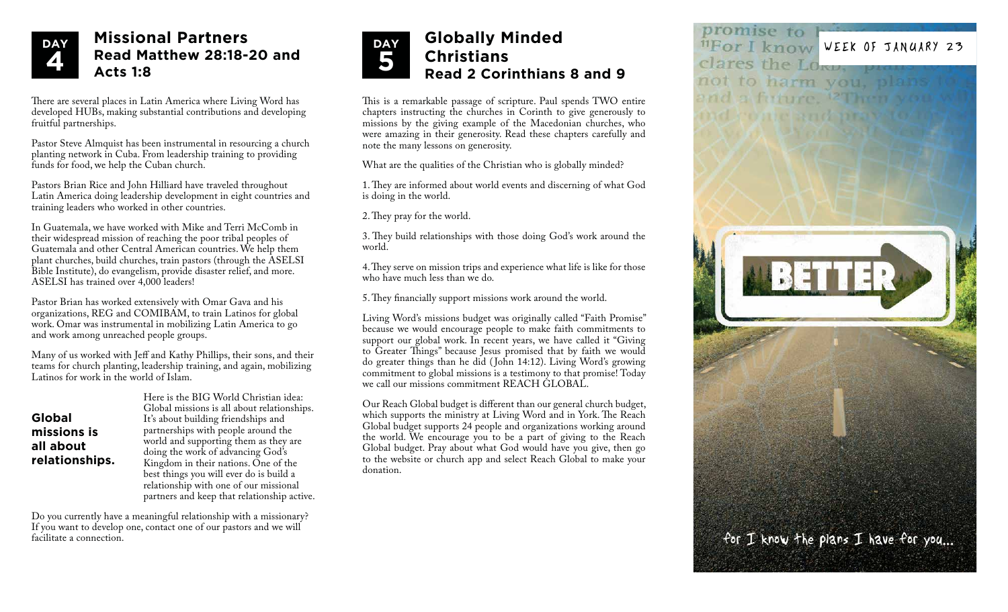

## **Missional Partners Read Matthew 28:18-20 and Acts 1:8**

There are several places in Latin America where Living Word has developed HUBs, making substantial contributions and developing fruitful partnerships.

Pastor Steve Almquist has been instrumental in resourcing a church planting network in Cuba. From leadership training to providing funds for food, we help the Cuban church.

Pastors Brian Rice and John Hilliard have traveled throughout Latin America doing leadership development in eight countries and training leaders who worked in other countries.

In Guatemala, we have worked with Mike and Terri McComb in their widespread mission of reaching the poor tribal peoples of Guatemala and other Central American countries. We help them plant churches, build churches, train pastors (through the ASELSI Bible Institute), do evangelism, provide disaster relief, and more. ASELSI has trained over 4,000 leaders!

Pastor Brian has worked extensively with Omar Gava and his organizations, REG and COMIBAM, to train Latinos for global work. Omar was instrumental in mobilizing Latin America to go and work among unreached people groups.

Many of us worked with Jeff and Kathy Phillips, their sons, and their teams for church planting, leadership training, and again, mobilizing Latinos for work in the world of Islam.

**Global missions is all about relationships.**

Here is the BIG World Christian idea: Global missions is all about relationships. It's about building friendships and partnerships with people around the world and supporting them as they are doing the work of advancing God's Kingdom in their nations. One of the best things you will ever do is build a relationship with one of our missional partners and keep that relationship active.

Do you currently have a meaningful relationship with a missionary? If you want to develop one, contact one of our pastors and we will facilitate a connection.



## **Christians Read 2 Corinthians 8 and 9**

This is a remarkable passage of scripture. Paul spends TWO entire chapters instructing the churches in Corinth to give generously to missions by the giving example of the Macedonian churches, who were amazing in their generosity. Read these chapters carefully and note the many lessons on generosity.

What are the qualities of the Christian who is globally minded?

1. They are informed about world events and discerning of what God is doing in the world.

2. They pray for the world.

3. They build relationships with those doing God's work around the world.

4. They serve on mission trips and experience what life is like for those who have much less than we do.

5. They financially support missions work around the world.

Living Word's missions budget was originally called "Faith Promise" because we would encourage people to make faith commitments to support our global work. In recent years, we have called it "Giving" to Greater Things" because Jesus promised that by faith we would do greater things than he did ( John 14:12). Living Word's growing commitment to global missions is a testimony to that promise! Today we call our missions commitment REACH GLOBAL.

Our Reach Global budget is different than our general church budget, which supports the ministry at Living Word and in York. The Reach Global budget supports 24 people and organizations working around the world. We encourage you to be a part of giving to the Reach Global budget. Pray about what God would have you give, then go to the website or church app and select Reach Global to make your donation.